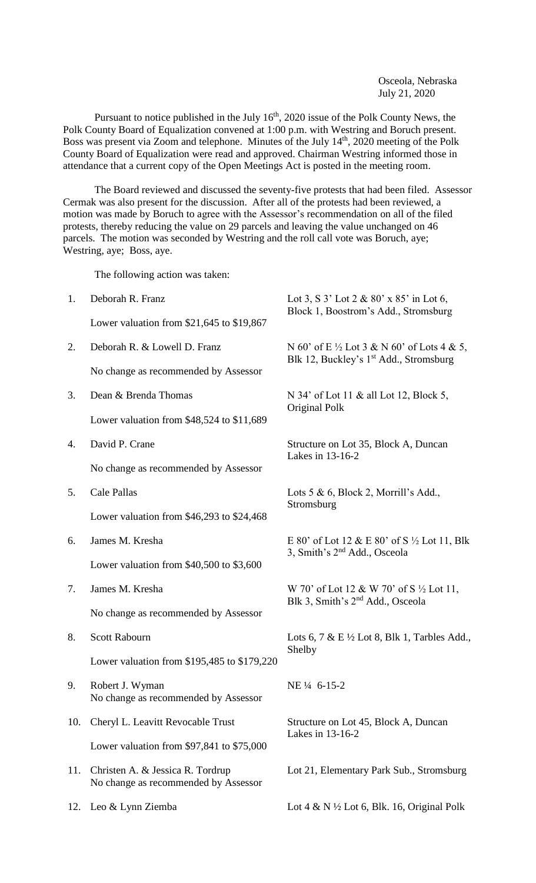Osceola, Nebraska July 21, 2020

Pursuant to notice published in the July  $16<sup>th</sup>$ , 2020 issue of the Polk County News, the Polk County Board of Equalization convened at 1:00 p.m. with Westring and Boruch present. Boss was present via Zoom and telephone. Minutes of the July 14<sup>th</sup>, 2020 meeting of the Polk County Board of Equalization were read and approved. Chairman Westring informed those in attendance that a current copy of the Open Meetings Act is posted in the meeting room.

The Board reviewed and discussed the seventy-five protests that had been filed. Assessor Cermak was also present for the discussion. After all of the protests had been reviewed, a motion was made by Boruch to agree with the Assessor's recommendation on all of the filed protests, thereby reducing the value on 29 parcels and leaving the value unchanged on 46 parcels. The motion was seconded by Westring and the roll call vote was Boruch, aye; Westring, aye; Boss, aye.

The following action was taken:

| 1.  | Deborah R. Franz                                                         | Lot 3, S $3'$ Lot 2 & $80'$ x $85'$ in Lot 6,<br>Block 1, Boostrom's Add., Stromsburg                       |  |
|-----|--------------------------------------------------------------------------|-------------------------------------------------------------------------------------------------------------|--|
|     | Lower valuation from $$21,645$ to $$19,867$                              |                                                                                                             |  |
| 2.  | Deborah R. & Lowell D. Franz                                             | N 60' of E $\frac{1}{2}$ Lot 3 & N 60' of Lots 4 & 5,<br>Blk 12, Buckley's 1 <sup>st</sup> Add., Stromsburg |  |
|     | No change as recommended by Assessor                                     |                                                                                                             |  |
| 3.  | Dean & Brenda Thomas                                                     | N 34' of Lot 11 & all Lot 12, Block 5,<br>Original Polk                                                     |  |
|     | Lower valuation from $$48,524$ to $$11,689$                              |                                                                                                             |  |
| 4.  | David P. Crane                                                           | Structure on Lot 35, Block A, Duncan<br>Lakes in 13-16-2                                                    |  |
|     | No change as recommended by Assessor                                     |                                                                                                             |  |
| 5.  | Cale Pallas                                                              | Lots 5 & 6, Block 2, Morrill's Add.,<br>Stromsburg                                                          |  |
|     | Lower valuation from $$46,293$ to $$24,468$                              |                                                                                                             |  |
| 6.  | James M. Kresha                                                          | E 80' of Lot 12 & E 80' of S $\frac{1}{2}$ Lot 11, Blk<br>3, Smith's $2nd$ Add., Osceola                    |  |
|     | Lower valuation from $$40,500$ to $$3,600$                               |                                                                                                             |  |
| 7.  | James M. Kresha                                                          | W 70' of Lot 12 & W 70' of S ½ Lot 11,<br>Blk 3, Smith's 2 <sup>nd</sup> Add., Osceola                      |  |
|     | No change as recommended by Assessor                                     |                                                                                                             |  |
| 8.  | <b>Scott Rabourn</b>                                                     | Lots 6, 7 & E $\frac{1}{2}$ Lot 8, Blk 1, Tarbles Add.,<br>Shelby                                           |  |
|     | Lower valuation from \$195,485 to \$179,220                              |                                                                                                             |  |
| 9.  | Robert J. Wyman<br>No change as recommended by Assessor                  | NE 1/4 6-15-2                                                                                               |  |
| 10. | Cheryl L. Leavitt Revocable Trust                                        | Structure on Lot 45, Block A, Duncan<br>Lakes in 13-16-2                                                    |  |
|     | Lower valuation from $$97,841$ to $$75,000$                              |                                                                                                             |  |
| 11. | Christen A. & Jessica R. Tordrup<br>No change as recommended by Assessor | Lot 21, Elementary Park Sub., Stromsburg                                                                    |  |
| 12. | Leo & Lynn Ziemba                                                        | Lot 4 & N $\frac{1}{2}$ Lot 6, Blk. 16, Original Polk                                                       |  |
|     |                                                                          |                                                                                                             |  |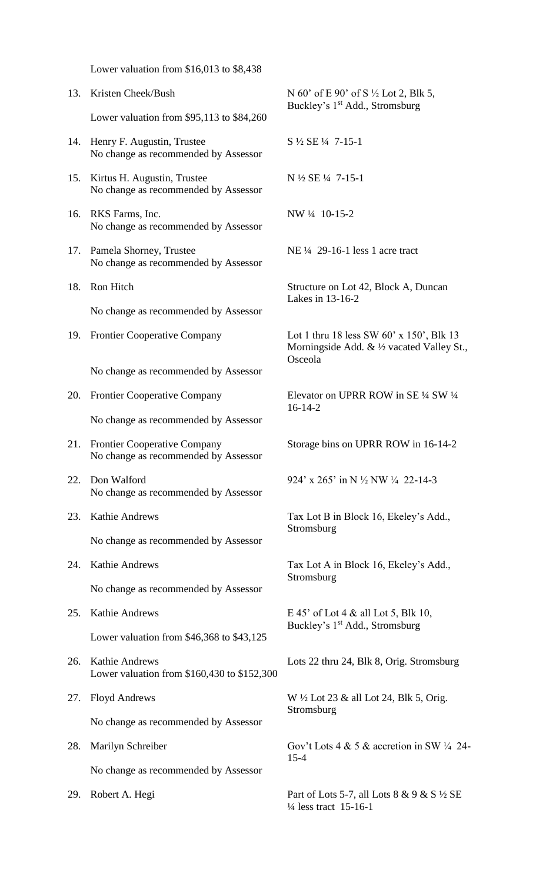|     | Lower valuation from $$16,013$ to $$8,438$                             |                                                                                                              |
|-----|------------------------------------------------------------------------|--------------------------------------------------------------------------------------------------------------|
| 13. | Kristen Cheek/Bush                                                     | N 60' of E 90' of S $\frac{1}{2}$ Lot 2, Blk 5,<br>Buckley's 1 <sup>st</sup> Add., Stromsburg                |
|     | Lower valuation from $$95,113$ to $$84,260$                            |                                                                                                              |
| 14. | Henry F. Augustin, Trustee<br>No change as recommended by Assessor     | S 1/2 SE 1/4 7-15-1                                                                                          |
| 15. | Kirtus H. Augustin, Trustee<br>No change as recommended by Assessor    | N ½ SE ¼ 7-15-1                                                                                              |
| 16. | RKS Farms, Inc.<br>No change as recommended by Assessor                | NW 1/4 10-15-2                                                                                               |
| 17. | Pamela Shorney, Trustee<br>No change as recommended by Assessor        | NE 1/4 29-16-1 less 1 acre tract                                                                             |
| 18. | Ron Hitch                                                              | Structure on Lot 42, Block A, Duncan<br>Lakes in 13-16-2                                                     |
|     | No change as recommended by Assessor                                   |                                                                                                              |
| 19. | <b>Frontier Cooperative Company</b>                                    | Lot 1 thru 18 less SW $60'$ x 150', Blk 13<br>Morningside Add. $&\frac{1}{2}$ vacated Valley St.,<br>Osceola |
|     | No change as recommended by Assessor                                   |                                                                                                              |
| 20. | <b>Frontier Cooperative Company</b>                                    | Elevator on UPRR ROW in SE 1/4 SW 1/4<br>$16 - 14 - 2$                                                       |
|     | No change as recommended by Assessor                                   |                                                                                                              |
| 21. | Frontier Cooperative Company<br>No change as recommended by Assessor   | Storage bins on UPRR ROW in 16-14-2                                                                          |
| 22. | Don Walford<br>No change as recommended by Assessor                    | 924' x 265' in N $\frac{1}{2}$ NW $\frac{1}{4}$ 22-14-3                                                      |
| 23. | <b>Kathie Andrews</b>                                                  | Tax Lot B in Block 16, Ekeley's Add.,<br>Stromsburg                                                          |
|     | No change as recommended by Assessor                                   |                                                                                                              |
| 24. | <b>Kathie Andrews</b>                                                  | Tax Lot A in Block 16, Ekeley's Add.,<br>Stromsburg                                                          |
|     | No change as recommended by Assessor                                   |                                                                                                              |
| 25. | <b>Kathie Andrews</b>                                                  | E 45' of Lot 4 & all Lot 5, Blk 10,<br>Buckley's 1 <sup>st</sup> Add., Stromsburg                            |
|     | Lower valuation from $$46,368$ to $$43,125$                            |                                                                                                              |
| 26. | <b>Kathie Andrews</b><br>Lower valuation from $$160,430$ to $$152,300$ | Lots 22 thru 24, Blk 8, Orig. Stromsburg                                                                     |
| 27. | <b>Floyd Andrews</b>                                                   | W $\frac{1}{2}$ Lot 23 & all Lot 24, Blk 5, Orig.<br>Stromsburg                                              |
|     | No change as recommended by Assessor                                   |                                                                                                              |
| 28. | Marilyn Schreiber                                                      | Gov't Lots 4 & 5 & accretion in SW $\frac{1}{4}$ 24-<br>$15 - 4$                                             |
|     | No change as recommended by Assessor                                   |                                                                                                              |
| 29. | Robert A. Hegi                                                         | Part of Lots 5-7, all Lots 8 & 9 & S $\frac{1}{2}$ SE<br>1/4 less tract 15-16-1                              |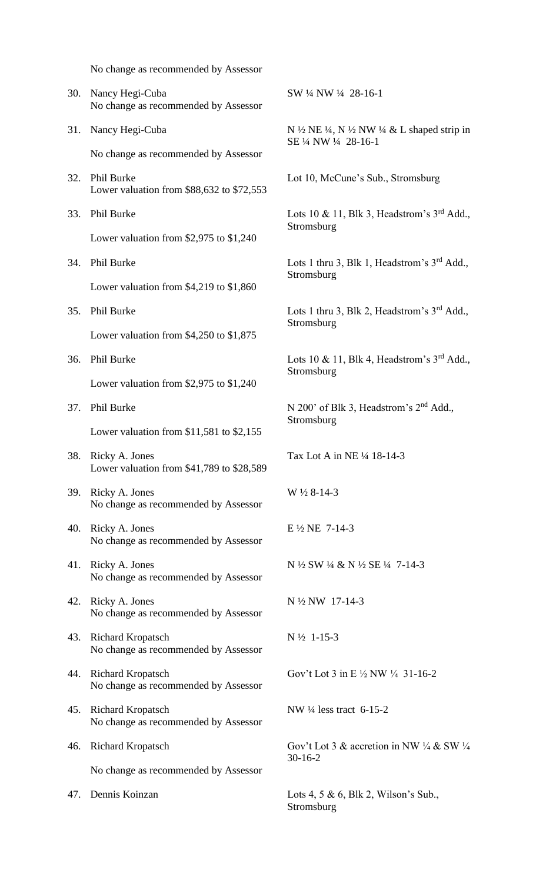No change as recommended by Assessor 30. Nancy Hegi-Cuba SW ¼ NW ¼ 28-16-1 No change as recommended by Assessor 31. Nancy Hegi-Cuba  $N \frac{1}{2} NE \frac{1}{4}$ , N  $\frac{1}{2} NW \frac{1}{4} \& L$  shaped strip in SE ¼ NW ¼ 28-16-1 No change as recommended by Assessor 32. Phil Burke Lot 10, McCune's Sub., Stromsburg Lower valuation from \$88,632 to \$72,553 33. Phil Burke Lots 10 & 11, Blk 3, Headstrom's 3<sup>rd</sup> Add., Stromsburg Lower valuation from \$2,975 to \$1,240 34. Phil Burke Lots 1 thru 3, Blk 1, Headstrom's 3<sup>rd</sup> Add., **Stromsburg** Lower valuation from \$4,219 to \$1,860 35. Phil Burke Lots 1 thru 3, Blk 2, Headstrom's 3<sup>rd</sup> Add., **Stromsburg** Lower valuation from \$4,250 to \$1,875 36. Phil Burke Lots 10 & 11, Blk 4, Headstrom's  $3<sup>rd</sup>$  Add., Stromsburg Lower valuation from \$2,975 to \$1,240 37. Phil Burke N 200' of Blk 3, Headstrom's 2<sup>nd</sup> Add., **Stromsburg** Lower valuation from \$11,581 to \$2,155 38. Ricky A. Jones Tax Lot A in NE ¼ 18-14-3 Lower valuation from \$41,789 to \$28,589 39. Ricky A. Jones W ½ 8-14-3 No change as recommended by Assessor 40. Ricky A. Jones E ½ NE 7-14-3 No change as recommended by Assessor 41. Ricky A. Jones N ½ SW ¼ & N ½ SE ¼ 7-14-3 No change as recommended by Assessor 42. Ricky A. Jones N ½ NW 17-14-3 No change as recommended by Assessor 43. Richard Kropatsch N ½ 1-15-3 No change as recommended by Assessor 44. Richard Kropatsch Gov't Lot 3 in E  $\frac{1}{2}$  NW  $\frac{1}{4}$  31-16-2 No change as recommended by Assessor 45. Richard Kropatsch NW ¼ less tract 6-15-2 No change as recommended by Assessor 46. Richard Kropatsch Gov't Lot 3 & accretion in NW ¼ & SW ¼ 30-16-2 No change as recommended by Assessor 47. Dennis Koinzan Lots 4, 5 & 6, Blk 2, Wilson's Sub., Stromsburg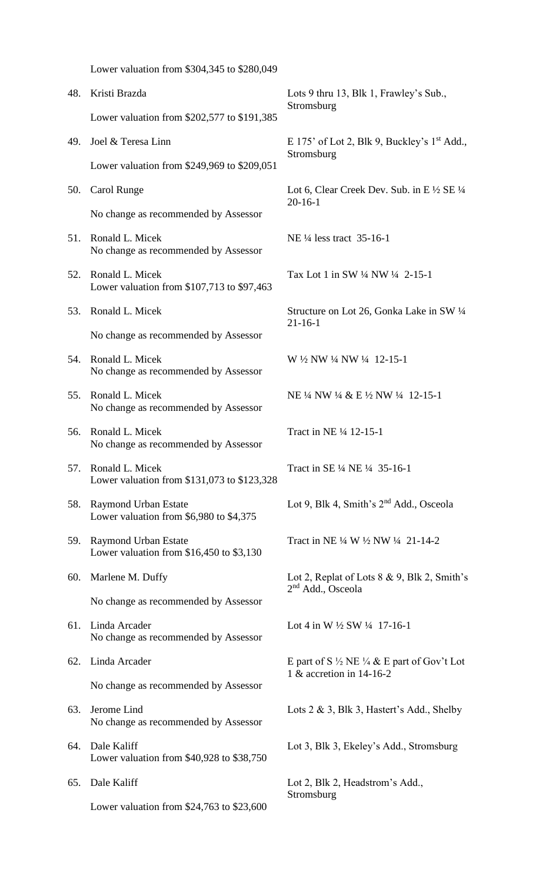|     | Lower valuation from \$304,345 to \$280,049                               |                                                                                              |
|-----|---------------------------------------------------------------------------|----------------------------------------------------------------------------------------------|
| 48. | Kristi Brazda                                                             | Lots 9 thru 13, Blk 1, Frawley's Sub.,                                                       |
|     | Lower valuation from \$202,577 to \$191,385                               | Stromsburg                                                                                   |
| 49. | Joel & Teresa Linn                                                        | E 175' of Lot 2, Blk 9, Buckley's $1st$ Add.,<br>Stromsburg                                  |
|     | Lower valuation from $$249,969$ to $$209,051$                             |                                                                                              |
| 50. | Carol Runge                                                               | Lot 6, Clear Creek Dev. Sub. in E $\frac{1}{2}$ SE $\frac{1}{4}$<br>$20-16-1$                |
|     | No change as recommended by Assessor                                      |                                                                                              |
| 51. | Ronald L. Micek<br>No change as recommended by Assessor                   | NE 1/4 less tract 35-16-1                                                                    |
| 52. | Ronald L. Micek<br>Lower valuation from \$107,713 to \$97,463             | Tax Lot 1 in SW 1/4 NW 1/4 2-15-1                                                            |
| 53. | Ronald L. Micek                                                           | Structure on Lot 26, Gonka Lake in SW 1/4<br>$21 - 16 - 1$                                   |
|     | No change as recommended by Assessor                                      |                                                                                              |
| 54. | Ronald L. Micek<br>No change as recommended by Assessor                   | W 1/2 NW 1/4 NW 1/4 12-15-1                                                                  |
| 55. | Ronald L. Micek<br>No change as recommended by Assessor                   | NE 1/4 NW 1/4 & E 1/2 NW 1/4 12-15-1                                                         |
| 56. | Ronald L. Micek<br>No change as recommended by Assessor                   | Tract in NE 1/4 12-15-1                                                                      |
| 57. | Ronald L. Micek<br>Lower valuation from \$131,073 to \$123,328            | Tract in SE 1/4 NE 1/4 35-16-1                                                               |
| 58. | <b>Raymond Urban Estate</b><br>Lower valuation from $$6,980$ to $$4,375$  | Lot 9, Blk 4, Smith's 2 <sup>nd</sup> Add., Osceola                                          |
| 59. | <b>Raymond Urban Estate</b><br>Lower valuation from $$16,450$ to $$3,130$ | Tract in NE 1/4 W 1/2 NW 1/4 21-14-2                                                         |
| 60. | Marlene M. Duffy                                                          | Lot 2, Replat of Lots $8 \& 9$ , Blk 2, Smith's                                              |
|     | No change as recommended by Assessor                                      | 2 <sup>nd</sup> Add., Osceola                                                                |
| 61. | Linda Arcader<br>No change as recommended by Assessor                     | Lot 4 in W $\frac{1}{2}$ SW $\frac{1}{4}$ 17-16-1                                            |
| 62. | Linda Arcader                                                             | E part of S $\frac{1}{2}$ NE $\frac{1}{4}$ & E part of Gov't Lot<br>1 & accretion in 14-16-2 |
|     | No change as recommended by Assessor                                      |                                                                                              |
| 63. | Jerome Lind<br>No change as recommended by Assessor                       | Lots $2 \& 3$ , Blk 3, Hastert's Add., Shelby                                                |
| 64. | Dale Kaliff<br>Lower valuation from $$40,928$ to $$38,750$                | Lot 3, Blk 3, Ekeley's Add., Stromsburg                                                      |
| 65. | Dale Kaliff                                                               | Lot 2, Blk 2, Headstrom's Add.,                                                              |
|     | Lower valuation from $$24,763$ to $$23,600$                               | Stromsburg                                                                                   |